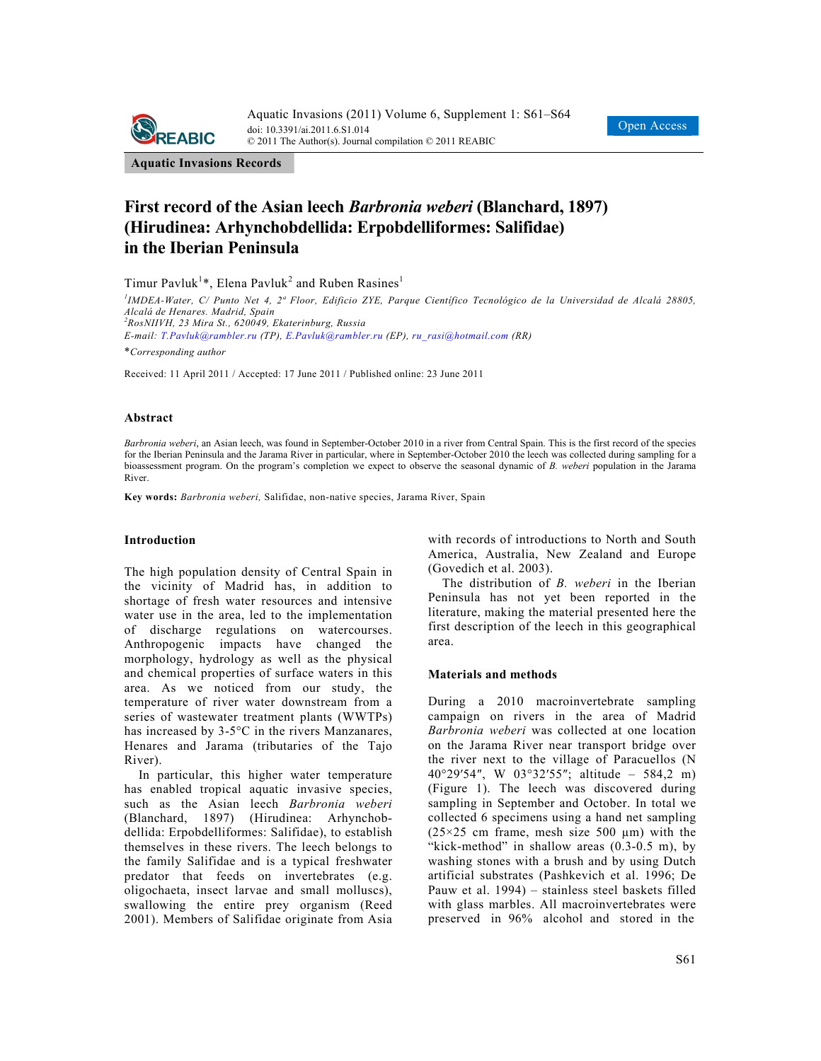



**Aquatic Invasions Records** 

# **First record of the Asian leech** *Barbronia weberi* **(Blanchard, 1897) (Hirudinea: Arhynchobdellida: Erpobdelliformes: Salifidae) in the Iberian Peninsula**

Timur Pavluk<sup>1</sup>\*, Elena Pavluk<sup>2</sup> and Ruben Rasines<sup>1</sup>

*1 IMDEA-Water, C/ Punto Net 4, 2ª Floor, Edificio ZYE, Parque Científico Tecnológico de la Universidad de Alcalá 28805, Alcalá de Henares. Madrid, Spain 2 RosNIIVH, 23 Mira St., 620049, Ekaterinburg, Russia E-mail: T.Pavluk@rambler.ru (TP), E.Pavluk@rambler.ru (EP), ru\_rasi@hotmail.com (RR)*  \**Corresponding author* 

Received: 11 April 2011 / Accepted: 17 June 2011 / Published online: 23 June 2011

## **Abstract**

*Barbronia weberi*, an Asian leech, was found in September-October 2010 in a river from Central Spain. This is the first record of the species for the Iberian Peninsula and the Jarama River in particular, where in September-October 2010 the leech was collected during sampling for a bioassessment program. On the program's completion we expect to observe the seasonal dynamic of *B. weberi* population in the Jarama River.

**Key words:** *Barbronia weberi,* Salifidae, non-native species, Jarama River, Spain

#### **Introduction**

The high population density of Central Spain in the vicinity of Madrid has, in addition to shortage of fresh water resources and intensive water use in the area, led to the implementation of discharge regulations on watercourses. Anthropogenic impacts have changed the morphology, hydrology as well as the physical and chemical properties of surface waters in this area. As we noticed from our study, the temperature of river water downstream from a series of wastewater treatment plants (WWTPs) has increased by 3-5°C in the rivers Manzanares, Henares and Jarama (tributaries of the Tajo River).

In particular, this higher water temperature has enabled tropical aquatic invasive species, such as the Asian leech *Barbronia weberi* (Blanchard, 1897) (Hirudinea: Arhynchobdellida: Erpobdelliformes: Salifidae), to establish themselves in these rivers. The leech belongs to the family Salifidae and is a typical freshwater predator that feeds on invertebrates (e.g. oligochaeta, insect larvae and small molluscs), swallowing the entire prey organism (Reed 2001). Members of Salifidae originate from Asia with records of introductions to North and South America, Australia, New Zealand and Europe (Govedich et al. 2003).

The distribution of *B. weberi* in the Iberian Peninsula has not yet been reported in the literature, making the material presented here the first description of the leech in this geographical area.

#### **Materials and methods**

During a 2010 macroinvertebrate sampling campaign on rivers in the area of Madrid *Barbronia weberi* was collected at one location on the Jarama River near transport bridge over the river next to the village of Paracuellos (N 40°29′54″, W 03°32′55″; altitude – 584,2 m) (Figure 1). The leech was discovered during sampling in September and October. In total we collected 6 specimens using a hand net sampling ( $25 \times 25$  cm frame, mesh size 500 µm) with the "kick-method" in shallow areas (0.3-0.5 m), by washing stones with a brush and by using Dutch artificial substrates (Pashkevich et al. 1996; De Pauw et al. 1994) – stainless steel baskets filled with glass marbles. All macroinvertebrates were preserved in 96% alcohol and stored in the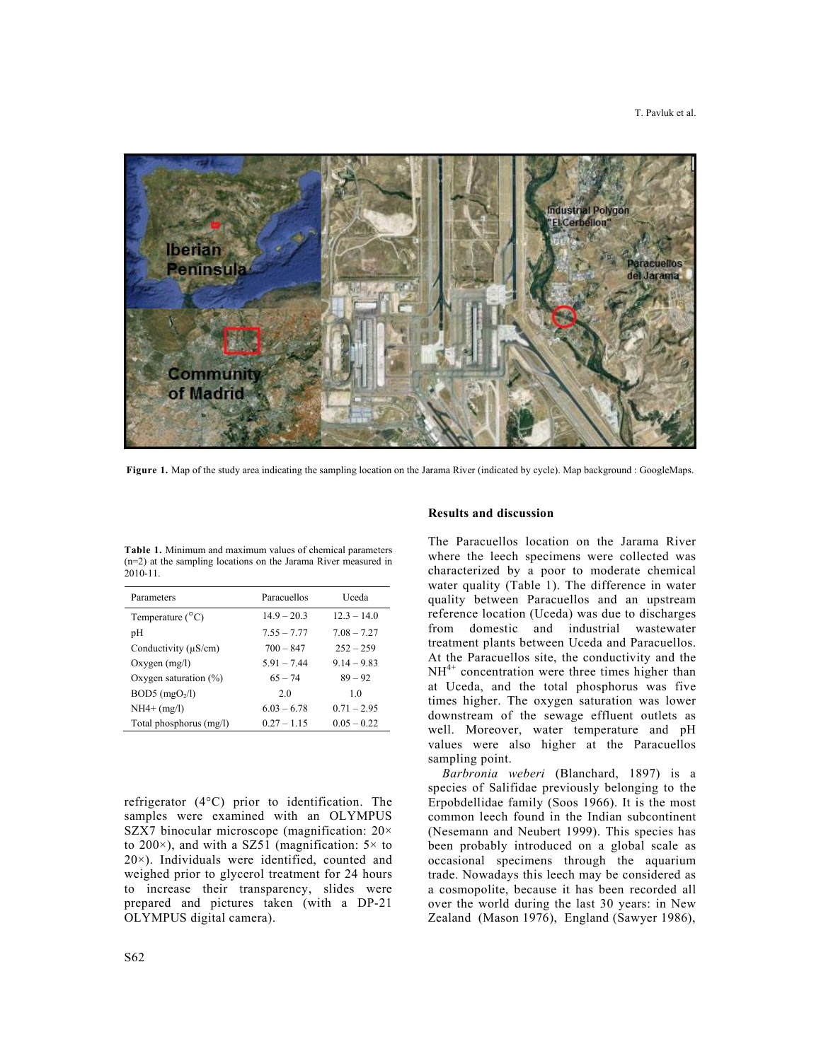

**Figure 1.** Map of the study area indicating the sampling location on the Jarama River (indicated by cycle). Map background : GoogleMaps.

| <b>Table 1.</b> Minimum and maximum values of chemical parameters |
|-------------------------------------------------------------------|
| $(n=2)$ at the sampling locations on the Jarama River measured in |
| $2010 - 11.$                                                      |

| Parameters                   | Paracuellos   | Uceda          |
|------------------------------|---------------|----------------|
| Temperature $(^{\circ}C)$    | $149 - 203$   | $12.3 - 14.0$  |
| pH                           | $7.55 - 7.77$ | $7.08 - 7.27$  |
| Conductivity $(\mu S/cm)$    | $700 - 847$   | $252 - 259$    |
| $Oxygen$ (mg/l)              | $5.91 - 7.44$ | $9.14 - 9.83$  |
| Oxygen saturation $(\%)$     | $65 - 74$     | $89 - 92$      |
| $BOD5$ (mgO <sub>2</sub> /l) | 2.0           | 1 <sub>0</sub> |
| $NH4+ (mg/l)$                | $6.03 - 6.78$ | $0.71 - 2.95$  |
| Total phosphorus (mg/l)      | $0.27 - 1.15$ | $0.05 - 0.22$  |

refrigerator (4°C) prior to identification. The samples were examined with an OLYMPUS SZX7 binocular microscope (magnification: 20× to 200 $\times$ ), and with a SZ51 (magnification:  $5\times$  to 20×). Individuals were identified, counted and weighed prior to glycerol treatment for 24 hours to increase their transparency, slides were prepared and pictures taken (with a DP-21 OLYMPUS digital camera).

## **Results and discussion**

The Paracuellos location on the Jarama River where the leech specimens were collected was characterized by a poor to moderate chemical water quality (Table 1). The difference in water quality between Paracuellos and an upstream reference location (Uceda) was due to discharges from domestic and industrial wastewater treatment plants between Uceda and Paracuellos. At the Paracuellos site, the conductivity and the  $NH<sup>4+</sup>$  concentration were three times higher than at Uceda, and the total phosphorus was five times higher. The oxygen saturation was lower downstream of the sewage effluent outlets as well. Moreover, water temperature and pH values were also higher at the Paracuellos sampling point.

*Barbronia weberi* (Blanchard, 1897) is a species of Salifidae previously belonging to the Erpobdellidae family (Soos 1966). It is the most common leech found in the Indian subcontinent (Nesemann and Neubert 1999). This species has been probably introduced on a global scale as occasional specimens through the aquarium trade. Nowadays this leech may be considered as a cosmopolite, because it has been recorded all over the world during the last 30 years: in New Zealand (Mason 1976), England (Sawyer 1986),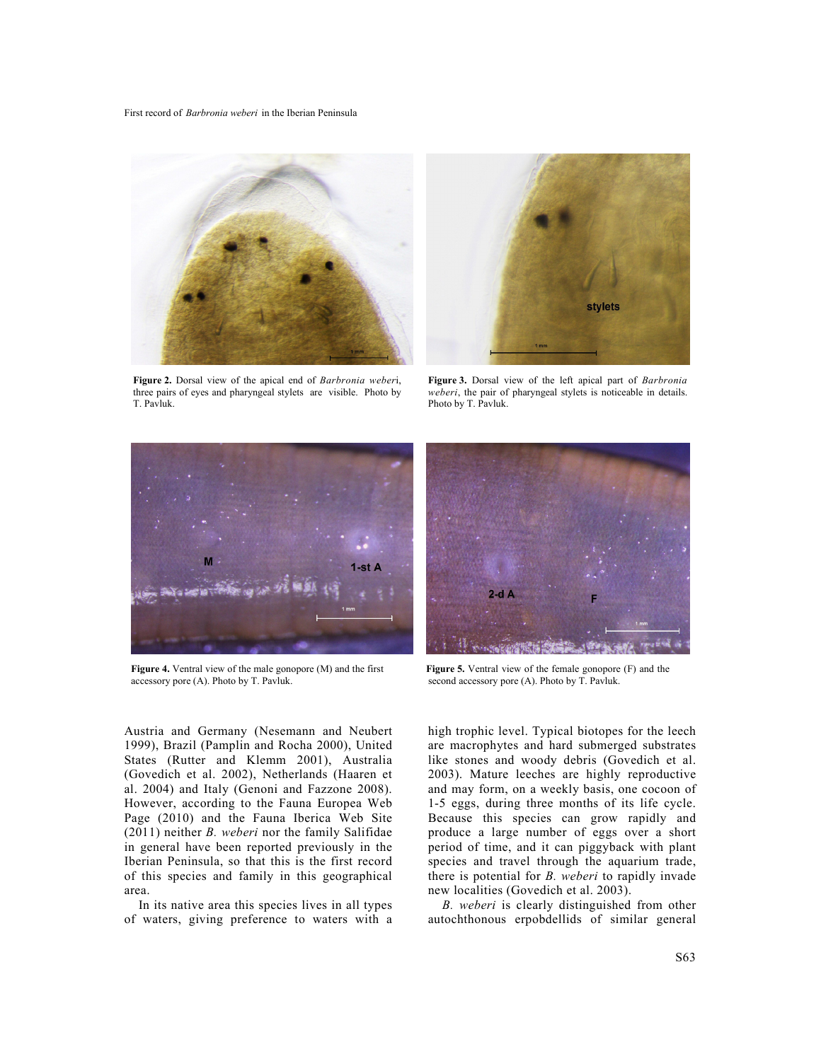First record of *Barbronia weberi* in the Iberian Peninsula



**Figure 2.** Dorsal view of the apical end of *Barbronia weber*i, three pairs of eyes and pharyngeal stylets are visible. Photo by T. Pavluk.



**Figure 3.** Dorsal view of the left apical part of *Barbronia weberi*, the pair of pharyngeal stylets is noticeable in details. Photo by T. Pavluk.



**Figure 4.** Ventral view of the male gonopore (M) and the first accessory pore (A). Photo by T. Pavluk.

Austria and Germany (Nesemann and Neubert 1999), Brazil (Pamplin and Rocha 2000), United States (Rutter and Klemm 2001), Australia (Govedich et al. 2002), Netherlands (Haaren et al. 2004) and Italy (Genoni and Fazzone 2008). However, according to the Fauna Europea Web Page (2010) and the Fauna Iberica Web Site (2011) neither *B. weberi* nor the family Salifidae in general have been reported previously in the Iberian Peninsula, so that this is the first record of this species and family in this geographical area.

In its native area this species lives in all types of waters, giving preference to waters with a



**Figure 5.** Ventral view of the female gonopore (F) and the second accessory pore (A). Photo by T. Pavluk.

high trophic level. Typical biotopes for the leech are macrophytes and hard submerged substrates like stones and woody debris (Govedich et al. 2003). Mature leeches are highly reproductive and may form, on a weekly basis, one cocoon of 1-5 eggs, during three months of its life cycle. Because this species can grow rapidly and produce a large number of eggs over a short period of time, and it can piggyback with plant species and travel through the aquarium trade, there is potential for *B. weberi* to rapidly invade new localities (Govedich et al. 2003).

*B. weberi* is clearly distinguished from other autochthonous erpobdellids of similar general